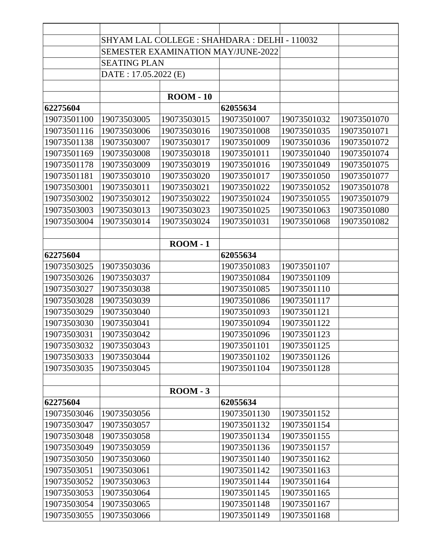|             | SHYAM LAL COLLEGE : SHAHDARA : DELHI - 110032 |                   |             |             |             |
|-------------|-----------------------------------------------|-------------------|-------------|-------------|-------------|
|             | <b>SEMESTER EXAMINATION MAY/JUNE-2022</b>     |                   |             |             |             |
|             | <b>SEATING PLAN</b>                           |                   |             |             |             |
|             | DATE: 17.05.2022 (E)                          |                   |             |             |             |
|             |                                               |                   |             |             |             |
|             |                                               | $\text{ROM} - 10$ |             |             |             |
| 62275604    |                                               |                   | 62055634    |             |             |
| 19073501100 | 19073503005                                   | 19073503015       | 19073501007 | 19073501032 | 19073501070 |
| 19073501116 | 19073503006                                   | 19073503016       | 19073501008 | 19073501035 | 19073501071 |
| 19073501138 | 19073503007                                   | 19073503017       | 19073501009 | 19073501036 | 19073501072 |
| 19073501169 | 19073503008                                   | 19073503018       | 19073501011 | 19073501040 | 19073501074 |
| 19073501178 | 19073503009                                   | 19073503019       | 19073501016 | 19073501049 | 19073501075 |
| 19073501181 | 19073503010                                   | 19073503020       | 19073501017 | 19073501050 | 19073501077 |
| 19073503001 | 19073503011                                   | 19073503021       | 19073501022 | 19073501052 | 19073501078 |
| 19073503002 | 19073503012                                   | 19073503022       | 19073501024 | 19073501055 | 19073501079 |
| 19073503003 | 19073503013                                   | 19073503023       | 19073501025 | 19073501063 | 19073501080 |
| 19073503004 | 19073503014                                   | 19073503024       | 19073501031 | 19073501068 | 19073501082 |
|             |                                               |                   |             |             |             |
|             |                                               | $\text{ROM} - 1$  |             |             |             |
| 62275604    |                                               |                   | 62055634    |             |             |
| 19073503025 | 19073503036                                   |                   | 19073501083 | 19073501107 |             |
| 19073503026 | 19073503037                                   |                   | 19073501084 | 19073501109 |             |
| 19073503027 | 19073503038                                   |                   | 19073501085 | 19073501110 |             |
| 19073503028 | 19073503039                                   |                   | 19073501086 | 19073501117 |             |
| 19073503029 | 19073503040                                   |                   | 19073501093 | 19073501121 |             |
| 19073503030 | 19073503041                                   |                   | 19073501094 | 19073501122 |             |
| 19073503031 | 19073503042                                   |                   | 19073501096 | 19073501123 |             |
| 19073503032 | 19073503043                                   |                   | 19073501101 | 19073501125 |             |
| 19073503033 | 19073503044                                   |                   | 19073501102 | 19073501126 |             |
| 19073503035 | 19073503045                                   |                   | 19073501104 | 19073501128 |             |
|             |                                               |                   |             |             |             |
|             |                                               | $\text{ROM} - 3$  |             |             |             |
| 62275604    |                                               |                   | 62055634    |             |             |
| 19073503046 | 19073503056                                   |                   | 19073501130 | 19073501152 |             |
| 19073503047 | 19073503057                                   |                   | 19073501132 | 19073501154 |             |
| 19073503048 | 19073503058                                   |                   | 19073501134 | 19073501155 |             |
| 19073503049 | 19073503059                                   |                   | 19073501136 | 19073501157 |             |
| 19073503050 | 19073503060                                   |                   | 19073501140 | 19073501162 |             |
| 19073503051 | 19073503061                                   |                   | 19073501142 | 19073501163 |             |
| 19073503052 | 19073503063                                   |                   | 19073501144 | 19073501164 |             |
| 19073503053 | 19073503064                                   |                   | 19073501145 | 19073501165 |             |
| 19073503054 | 19073503065                                   |                   | 19073501148 | 19073501167 |             |
| 19073503055 | 19073503066                                   |                   | 19073501149 | 19073501168 |             |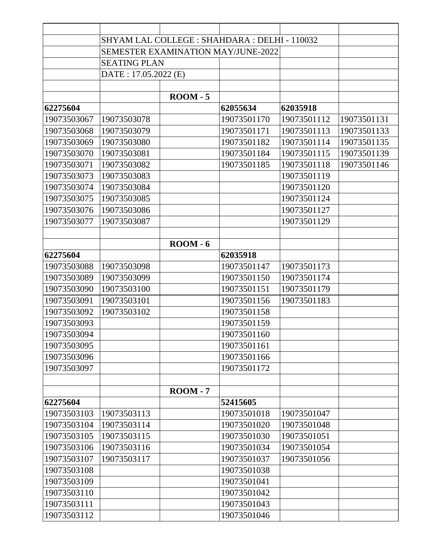|             | SHYAM LAL COLLEGE : SHAHDARA : DELHI - 110032 |                  |             |             |             |
|-------------|-----------------------------------------------|------------------|-------------|-------------|-------------|
|             | SEMESTER EXAMINATION MAY/JUNE-2022            |                  |             |             |             |
|             | <b>SEATING PLAN</b>                           |                  |             |             |             |
|             | DATE: 17.05.2022 (E)                          |                  |             |             |             |
|             |                                               |                  |             |             |             |
|             |                                               | $\text{ROM} - 5$ |             |             |             |
| 62275604    |                                               |                  | 62055634    | 62035918    |             |
| 19073503067 | 19073503078                                   |                  | 19073501170 | 19073501112 | 19073501131 |
| 19073503068 | 19073503079                                   |                  | 19073501171 | 19073501113 | 19073501133 |
| 19073503069 | 19073503080                                   |                  | 19073501182 | 19073501114 | 19073501135 |
| 19073503070 | 19073503081                                   |                  | 19073501184 | 19073501115 | 19073501139 |
| 19073503071 | 19073503082                                   |                  | 19073501185 | 19073501118 | 19073501146 |
| 19073503073 | 19073503083                                   |                  |             | 19073501119 |             |
| 19073503074 | 19073503084                                   |                  |             | 19073501120 |             |
| 19073503075 | 19073503085                                   |                  |             | 19073501124 |             |
| 19073503076 | 19073503086                                   |                  |             | 19073501127 |             |
| 19073503077 | 19073503087                                   |                  |             | 19073501129 |             |
|             |                                               |                  |             |             |             |
|             |                                               | $\text{ROM} - 6$ |             |             |             |
| 62275604    |                                               |                  | 62035918    |             |             |
| 19073503088 | 19073503098                                   |                  | 19073501147 | 19073501173 |             |
| 19073503089 | 19073503099                                   |                  | 19073501150 | 19073501174 |             |
| 19073503090 | 19073503100                                   |                  | 19073501151 | 19073501179 |             |
| 19073503091 | 19073503101                                   |                  | 19073501156 | 19073501183 |             |
| 19073503092 | 19073503102                                   |                  | 19073501158 |             |             |
| 19073503093 |                                               |                  | 19073501159 |             |             |
| 19073503094 |                                               |                  | 19073501160 |             |             |
| 19073503095 |                                               |                  | 19073501161 |             |             |
| 19073503096 |                                               |                  | 19073501166 |             |             |
| 19073503097 |                                               |                  | 19073501172 |             |             |
|             |                                               |                  |             |             |             |
|             |                                               | $\text{ROM} - 7$ |             |             |             |
| 62275604    |                                               |                  | 52415605    |             |             |
| 19073503103 | 19073503113                                   |                  | 19073501018 | 19073501047 |             |
| 19073503104 | 19073503114                                   |                  | 19073501020 | 19073501048 |             |
| 19073503105 | 19073503115                                   |                  | 19073501030 | 19073501051 |             |
| 19073503106 | 19073503116                                   |                  | 19073501034 | 19073501054 |             |
| 19073503107 | 19073503117                                   |                  | 19073501037 | 19073501056 |             |
| 19073503108 |                                               |                  | 19073501038 |             |             |
| 19073503109 |                                               |                  | 19073501041 |             |             |
| 19073503110 |                                               |                  | 19073501042 |             |             |
| 19073503111 |                                               |                  | 19073501043 |             |             |
| 19073503112 |                                               |                  | 19073501046 |             |             |